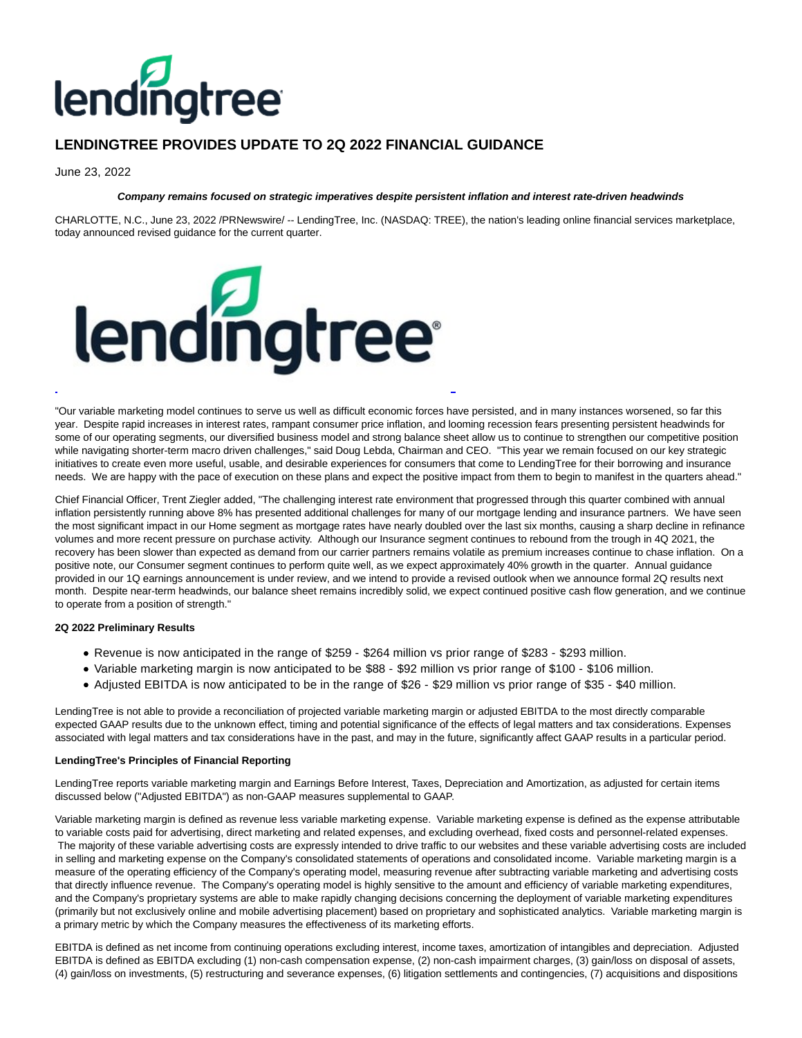

# **LENDINGTREE PROVIDES UPDATE TO 2Q 2022 FINANCIAL GUIDANCE**

June 23, 2022

#### **Company remains focused on strategic imperatives despite persistent inflation and interest rate-driven headwinds**

CHARLOTTE, N.C., June 23, 2022 /PRNewswire/ -- LendingTree, Inc. (NASDAQ: TREE), the nation's leading online financial services marketplace, today announced revised guidance for the current quarter.



"Our variable marketing model continues to serve us well as difficult economic forces have persisted, and in many instances worsened, so far this year. Despite rapid increases in interest rates, rampant consumer price inflation, and looming recession fears presenting persistent headwinds for some of our operating segments, our diversified business model and strong balance sheet allow us to continue to strengthen our competitive position while navigating shorter-term macro driven challenges," said Doug Lebda, Chairman and CEO. "This year we remain focused on our key strategic initiatives to create even more useful, usable, and desirable experiences for consumers that come to LendingTree for their borrowing and insurance needs. We are happy with the pace of execution on these plans and expect the positive impact from them to begin to manifest in the quarters ahead."

Chief Financial Officer, Trent Ziegler added, "The challenging interest rate environment that progressed through this quarter combined with annual inflation persistently running above 8% has presented additional challenges for many of our mortgage lending and insurance partners. We have seen the most significant impact in our Home segment as mortgage rates have nearly doubled over the last six months, causing a sharp decline in refinance volumes and more recent pressure on purchase activity. Although our Insurance segment continues to rebound from the trough in 4Q 2021, the recovery has been slower than expected as demand from our carrier partners remains volatile as premium increases continue to chase inflation. On a positive note, our Consumer segment continues to perform quite well, as we expect approximately 40% growth in the quarter. Annual guidance provided in our 1Q earnings announcement is under review, and we intend to provide a revised outlook when we announce formal 2Q results next month. Despite near-term headwinds, our balance sheet remains incredibly solid, we expect continued positive cash flow generation, and we continue to operate from a position of strength."

## **2Q 2022 Preliminary Results**

- Revenue is now anticipated in the range of \$259 \$264 million vs prior range of \$283 \$293 million.
- Variable marketing margin is now anticipated to be \$88 \$92 million vs prior range of \$100 \$106 million.
- Adjusted EBITDA is now anticipated to be in the range of \$26 \$29 million vs prior range of \$35 \$40 million.

LendingTree is not able to provide a reconciliation of projected variable marketing margin or adjusted EBITDA to the most directly comparable expected GAAP results due to the unknown effect, timing and potential significance of the effects of legal matters and tax considerations. Expenses associated with legal matters and tax considerations have in the past, and may in the future, significantly affect GAAP results in a particular period.

#### **LendingTree's Principles of Financial Reporting**

LendingTree reports variable marketing margin and Earnings Before Interest, Taxes, Depreciation and Amortization, as adjusted for certain items discussed below ("Adjusted EBITDA") as non-GAAP measures supplemental to GAAP.

Variable marketing margin is defined as revenue less variable marketing expense. Variable marketing expense is defined as the expense attributable to variable costs paid for advertising, direct marketing and related expenses, and excluding overhead, fixed costs and personnel-related expenses. The majority of these variable advertising costs are expressly intended to drive traffic to our websites and these variable advertising costs are included in selling and marketing expense on the Company's consolidated statements of operations and consolidated income. Variable marketing margin is a measure of the operating efficiency of the Company's operating model, measuring revenue after subtracting variable marketing and advertising costs that directly influence revenue. The Company's operating model is highly sensitive to the amount and efficiency of variable marketing expenditures, and the Company's proprietary systems are able to make rapidly changing decisions concerning the deployment of variable marketing expenditures (primarily but not exclusively online and mobile advertising placement) based on proprietary and sophisticated analytics. Variable marketing margin is a primary metric by which the Company measures the effectiveness of its marketing efforts.

EBITDA is defined as net income from continuing operations excluding interest, income taxes, amortization of intangibles and depreciation. Adjusted EBITDA is defined as EBITDA excluding (1) non-cash compensation expense, (2) non-cash impairment charges, (3) gain/loss on disposal of assets, (4) gain/loss on investments, (5) restructuring and severance expenses, (6) litigation settlements and contingencies, (7) acquisitions and dispositions